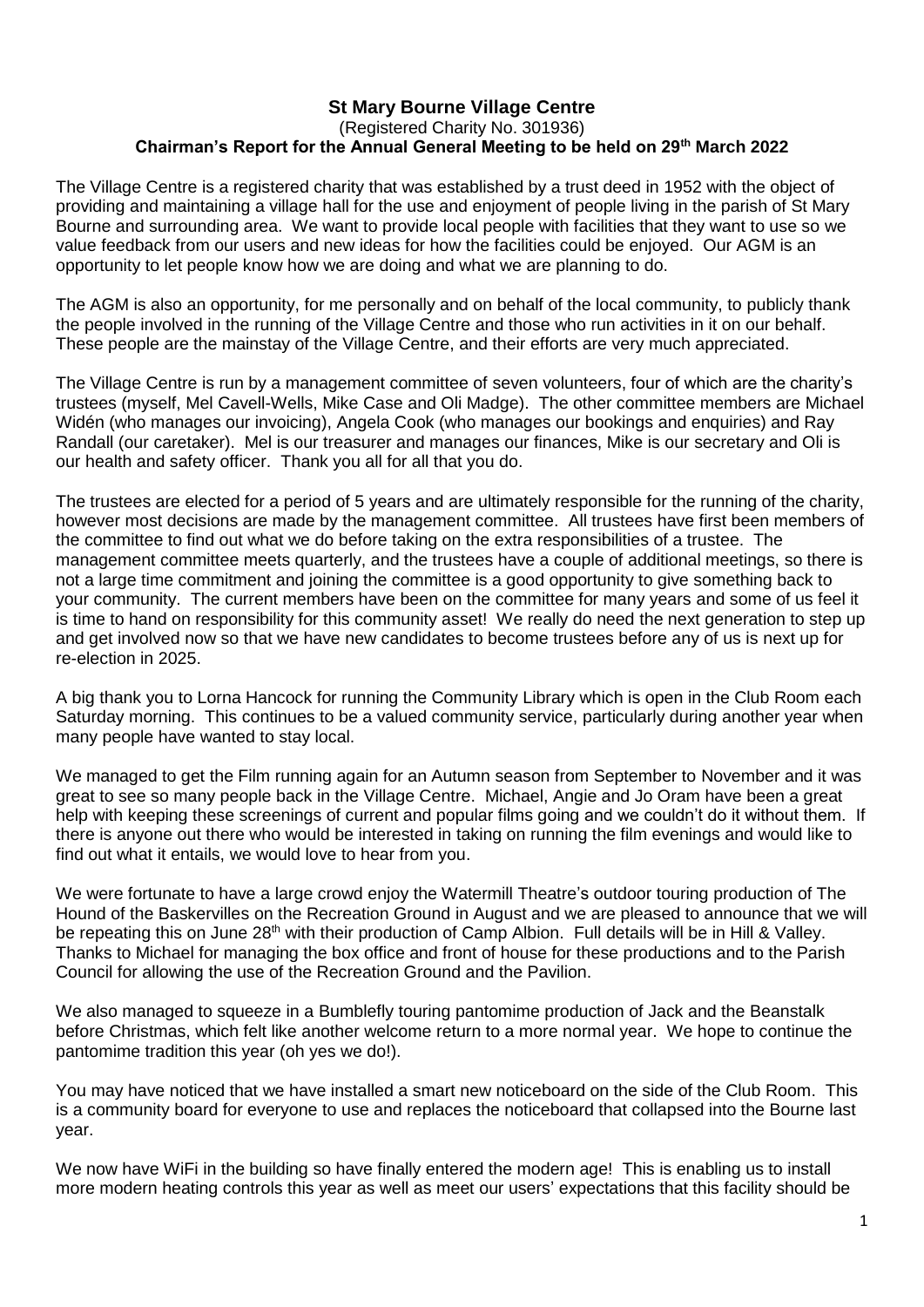## **St Mary Bourne Village Centre** (Registered Charity No. 301936) **Chairman's Report for the Annual General Meeting to be held on 29th March 2022**

The Village Centre is a registered charity that was established by a trust deed in 1952 with the object of providing and maintaining a village hall for the use and enjoyment of people living in the parish of St Mary Bourne and surrounding area. We want to provide local people with facilities that they want to use so we value feedback from our users and new ideas for how the facilities could be enjoyed. Our AGM is an opportunity to let people know how we are doing and what we are planning to do.

The AGM is also an opportunity, for me personally and on behalf of the local community, to publicly thank the people involved in the running of the Village Centre and those who run activities in it on our behalf. These people are the mainstay of the Village Centre, and their efforts are very much appreciated.

The Village Centre is run by a management committee of seven volunteers, four of which are the charity's trustees (myself, Mel Cavell-Wells, Mike Case and Oli Madge). The other committee members are Michael Widén (who manages our invoicing), Angela Cook (who manages our bookings and enquiries) and Ray Randall (our caretaker). Mel is our treasurer and manages our finances, Mike is our secretary and Oli is our health and safety officer. Thank you all for all that you do.

The trustees are elected for a period of 5 years and are ultimately responsible for the running of the charity, however most decisions are made by the management committee. All trustees have first been members of the committee to find out what we do before taking on the extra responsibilities of a trustee. The management committee meets quarterly, and the trustees have a couple of additional meetings, so there is not a large time commitment and joining the committee is a good opportunity to give something back to your community. The current members have been on the committee for many years and some of us feel it is time to hand on responsibility for this community asset! We really do need the next generation to step up and get involved now so that we have new candidates to become trustees before any of us is next up for re-election in 2025.

A big thank you to Lorna Hancock for running the Community Library which is open in the Club Room each Saturday morning. This continues to be a valued community service, particularly during another year when many people have wanted to stay local.

We managed to get the Film running again for an Autumn season from September to November and it was great to see so many people back in the Village Centre. Michael, Angie and Jo Oram have been a great help with keeping these screenings of current and popular films going and we couldn't do it without them. If there is anyone out there who would be interested in taking on running the film evenings and would like to find out what it entails, we would love to hear from you.

We were fortunate to have a large crowd enjoy the Watermill Theatre's outdoor touring production of The Hound of the Baskervilles on the Recreation Ground in August and we are pleased to announce that we will be repeating this on June 28<sup>th</sup> with their production of Camp Albion. Full details will be in Hill & Valley. Thanks to Michael for managing the box office and front of house for these productions and to the Parish Council for allowing the use of the Recreation Ground and the Pavilion.

We also managed to squeeze in a Bumblefly touring pantomime production of Jack and the Beanstalk before Christmas, which felt like another welcome return to a more normal year. We hope to continue the pantomime tradition this year (oh yes we do!).

You may have noticed that we have installed a smart new noticeboard on the side of the Club Room. This is a community board for everyone to use and replaces the noticeboard that collapsed into the Bourne last year.

We now have WiFi in the building so have finally entered the modern age! This is enabling us to install more modern heating controls this year as well as meet our users' expectations that this facility should be